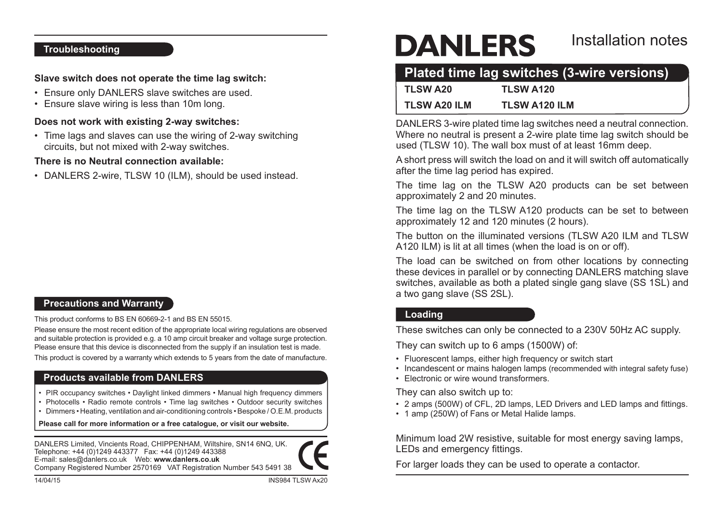### **Troubleshooting**

### **Slave switch does not operate the time lag switch:**

- Ensure only DANLERS slave switches are used.
- Ensure slave wiring is less than 10m long.

### **Does not work with existing 2-way switches:**

• Time lags and slaves can use the wiring of 2-way switching circuits, but not mixed with 2-way switches.

### **There is no Neutral connection available:**

• DANLERS 2-wire, TLSW 10 (ILM), should be used instead.

# **Precautions and Warranty**

This product conforms to BS EN 60669-2-1 and BS EN 55015.

Please ensure the most recent edition of the appropriate local wiring regulations are observed and suitable protection is provided e.g. a 10 amp circuit breaker and voltage surge protection. Please ensure that this device is disconnected from the supply if an insulation test is made.

This product is covered by a warranty which extends to 5 years from the date of manufacture.

# **Products available from DANLERS**

- PIR occupancy switches Daylight linked dimmers Manual high frequency dimmers
- Photocells Radio remote controls Time lag switches Outdoor security switches
- • Dimmers Heating, ventilation and air-conditioning controls Bespoke / O.E.M. products

**Please call for more information or a free catalogue, or visit our website.**

DANLERS Limited, Vincients Road, CHIPPENHAM, Wiltshire, SN14 6NQ, UK. Telephone: +44 (0)1249 443377 Fax: +44 (0)1249 443388 E-mail: sales@danlers.co.uk Web: **www.danlers.co.uk** Company Registered Number 2570169 VAT Registration Number 543 5491 38



# **DANLERS**

# Installation notes

# **Plated time lag switches (3-wire versions)**

| <b>TLSW A20</b>     | <b>TLSW A120</b>     |
|---------------------|----------------------|
| <b>TLSW A20 ILM</b> | <b>TLSW A120 ILM</b> |

DANLERS 3-wire plated time lag switches need a neutral connection. Where no neutral is present a 2-wire plate time lag switch should be used (TLSW 10). The wall box must of at least 16mm deep.

A short press will switch the load on and it will switch off automatically after the time lag period has expired.

The time lag on the TLSW A20 products can be set between approximately 2 and 20 minutes.

The time lag on the TLSW A120 products can be set to between approximately 12 and 120 minutes (2 hours).

The button on the illuminated versions (TLSW A20 ILM and TLSW A120 ILM) is lit at all times (when the load is on or off).

The load can be switched on from other locations by connecting these devices in parallel or by connecting DANLERS matching slave switches, available as both a plated single gang slave (SS 1SL) and a two gang slave (SS 2SL).

# **Loading**

These switches can only be connected to a 230V 50Hz AC supply.

They can switch up to 6 amps (1500W) of:

- Fluorescent lamps, either high frequency or switch start
- Incandescent or mains halogen lamps (recommended with integral safety fuse)
- **Electronic or wire wound transformers**

They can also switch up to:

- 2 amps (500W) of CFL, 2D lamps, LED Drivers and LED lamps and fittings.
- 1 amp (250W) of Fans or Metal Halide lamps.

Minimum load 2W resistive, suitable for most energy saving lamps, LEDs and emergency fittings.

For larger loads they can be used to operate a contactor.

14/04/15 INS984 TLSW Ax20